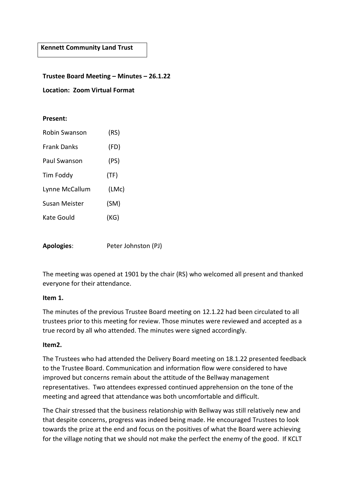**Kennett Community Land Trust**

#### **Trustee Board Meeting – Minutes – 26.1.22**

**Location: Zoom Virtual Format**

#### **Present:**

| Robin Swanson      | (RS)  |
|--------------------|-------|
| <b>Frank Danks</b> | (FD)  |
| Paul Swanson       | (PS)  |
| Tim Foddy          | (TF)  |
| Lynne McCallum     | (LMc) |
| Susan Meister      | (SM)  |
| Kate Gould         | (KG)  |
|                    |       |

**Apologies**: Peter Johnston (PJ)

The meeting was opened at 1901 by the chair (RS) who welcomed all present and thanked everyone for their attendance.

#### **Item 1.**

The minutes of the previous Trustee Board meeting on 12.1.22 had been circulated to all trustees prior to this meeting for review. Those minutes were reviewed and accepted as a true record by all who attended. The minutes were signed accordingly.

#### **Item2.**

The Trustees who had attended the Delivery Board meeting on 18.1.22 presented feedback to the Trustee Board. Communication and information flow were considered to have improved but concerns remain about the attitude of the Bellway management representatives. Two attendees expressed continued apprehension on the tone of the meeting and agreed that attendance was both uncomfortable and difficult.

The Chair stressed that the business relationship with Bellway was still relatively new and that despite concerns, progress was indeed being made. He encouraged Trustees to look towards the prize at the end and focus on the positives of what the Board were achieving for the village noting that we should not make the perfect the enemy of the good. If KCLT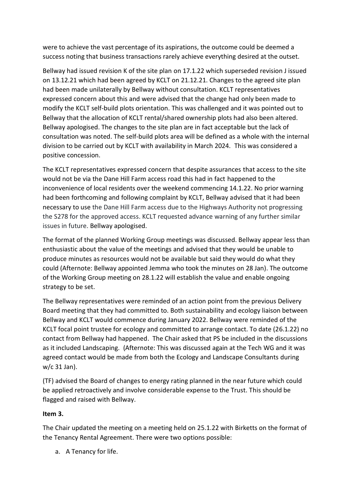were to achieve the vast percentage of its aspirations, the outcome could be deemed a success noting that business transactions rarely achieve everything desired at the outset.

Bellway had issued revision K of the site plan on 17.1.22 which superseded revision J issued on 13.12.21 which had been agreed by KCLT on 21.12.21. Changes to the agreed site plan had been made unilaterally by Bellway without consultation. KCLT representatives expressed concern about this and were advised that the change had only been made to modify the KCLT self-build plots orientation. This was challenged and it was pointed out to Bellway that the allocation of KCLT rental/shared ownership plots had also been altered. Bellway apologised. The changes to the site plan are in fact acceptable but the lack of consultation was noted. The self-build plots area will be defined as a whole with the internal division to be carried out by KCLT with availability in March 2024. This was considered a positive concession.

The KCLT representatives expressed concern that despite assurances that access to the site would not be via the Dane Hill Farm access road this had in fact happened to the inconvenience of local residents over the weekend commencing 14.1.22. No prior warning had been forthcoming and following complaint by KCLT, Bellway advised that it had been necessary to use the Dane Hill Farm access due to the Highways Authority not progressing the S278 for the approved access. KCLT requested advance warning of any further similar issues in future. Bellway apologised.

The format of the planned Working Group meetings was discussed. Bellway appear less than enthusiastic about the value of the meetings and advised that they would be unable to produce minutes as resources would not be available but said they would do what they could (Afternote: Bellway appointed Jemma who took the minutes on 28 Jan). The outcome of the Working Group meeting on 28.1.22 will establish the value and enable ongoing strategy to be set.

The Bellway representatives were reminded of an action point from the previous Delivery Board meeting that they had committed to. Both sustainability and ecology liaison between Bellway and KCLT would commence during January 2022. Bellway were reminded of the KCLT focal point trustee for ecology and committed to arrange contact. To date (26.1.22) no contact from Bellway had happened. The Chair asked that PS be included in the discussions as it included Landscaping. (Afternote: This was discussed again at the Tech WG and it was agreed contact would be made from both the Ecology and Landscape Consultants during w/c 31 Jan).

(TF) advised the Board of changes to energy rating planned in the near future which could be applied retroactively and involve considerable expense to the Trust. This should be flagged and raised with Bellway.

### **Item 3.**

The Chair updated the meeting on a meeting held on 25.1.22 with Birketts on the format of the Tenancy Rental Agreement. There were two options possible:

a. A Tenancy for life.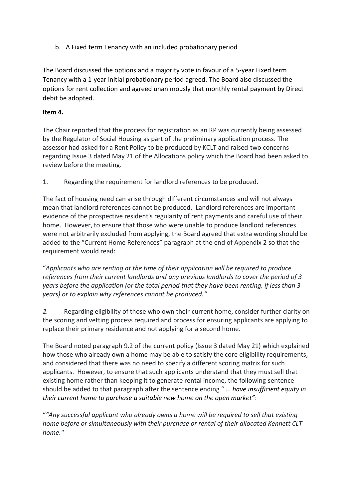b. A Fixed term Tenancy with an included probationary period

The Board discussed the options and a majority vote in favour of a 5-year Fixed term Tenancy with a 1-year initial probationary period agreed. The Board also discussed the options for rent collection and agreed unanimously that monthly rental payment by Direct debit be adopted.

### **Item 4.**

The Chair reported that the process for registration as an RP was currently being assessed by the Regulator of Social Housing as part of the preliminary application process. The assessor had asked for a Rent Policy to be produced by KCLT and raised two concerns regarding Issue 3 dated May 21 of the Allocations policy which the Board had been asked to review before the meeting.

1. Regarding the requirement for landlord references to be produced.

The fact of housing need can arise through different circumstances and will not always mean that landlord references cannot be produced. Landlord references are important evidence of the prospective resident's regularity of rent payments and careful use of their home. However, to ensure that those who were unable to produce landlord references were not arbitrarily excluded from applying, the Board agreed that extra wording should be added to the "Current Home References" paragraph at the end of Appendix 2 so that the requirement would read:

"*Applicants who are renting at the time of their application will be required to produce references from their current landlords and any previous landlords to cover the period of 3 years before the application (or the total period that they have been renting, if less than 3 years) or to explain why references cannot be produced."*

*2.* Regarding eligibility of those who own their current home, consider further clarity on the scoring and vetting process required and process for ensuring applicants are applying to replace their primary residence and not applying for a second home.

The Board noted paragraph 9.2 of the current policy (Issue 3 dated May 21) which explained how those who already own a home may be able to satisfy the core eligibility requirements, and considered that there was no need to specify a different scoring matrix for such applicants. However, to ensure that such applicants understand that they must sell that existing home rather than keeping it to generate rental income, the following sentence should be added to that paragraph after the sentence ending "…. *have insufficient equity in their current home to purchase a suitable new home on the open market"*:

"*"Any successful applicant who already owns a home will be required to sell that existing home before or simultaneously with their purchase or rental of their allocated Kennett CLT home."*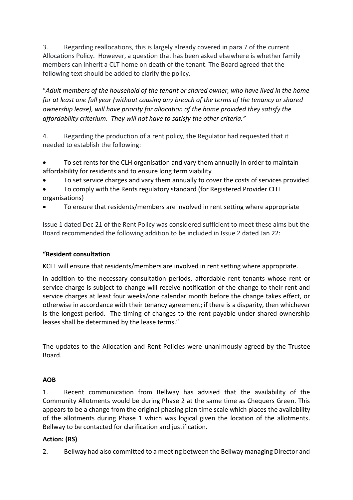3. Regarding reallocations, this is largely already covered in para 7 of the current Allocations Policy. However, a question that has been asked elsewhere is whether family members can inherit a CLT home on death of the tenant. The Board agreed that the following text should be added to clarify the policy.

"*Adult members of the household of the tenant or shared owner, who have lived in the home for at least one full year (without causing any breach of the terms of the tenancy or shared ownership lease), will have priority for allocation of the home provided they satisfy the affordability criterium. They will not have to satisfy the other criteria."*

4. Regarding the production of a rent policy, the Regulator had requested that it needed to establish the following:

- To set rents for the CLH organisation and vary them annually in order to maintain affordability for residents and to ensure long term viability
- To set service charges and vary them annually to cover the costs of services provided

• To comply with the Rents regulatory standard (for Registered Provider CLH organisations)

• To ensure that residents/members are involved in rent setting where appropriate

Issue 1 dated Dec 21 of the Rent Policy was considered sufficient to meet these aims but the Board recommended the following addition to be included in Issue 2 dated Jan 22:

# **"Resident consultation**

KCLT will ensure that residents/members are involved in rent setting where appropriate.

In addition to the necessary consultation periods, affordable rent tenants whose rent or service charge is subject to change will receive notification of the change to their rent and service charges at least four weeks/one calendar month before the change takes effect, or otherwise in accordance with their tenancy agreement; if there is a disparity, then whichever is the longest period. The timing of changes to the rent payable under shared ownership leases shall be determined by the lease terms."

The updates to the Allocation and Rent Policies were unanimously agreed by the Trustee Board.

### **AOB**

1. Recent communication from Bellway has advised that the availability of the Community Allotments would be during Phase 2 at the same time as Chequers Green. This appears to be a change from the original phasing plan time scale which places the availability of the allotments during Phase 1 which was logical given the location of the allotments. Bellway to be contacted for clarification and justification.

### **Action: (RS)**

2. Bellway had also committed to a meeting between the Bellway managing Director and